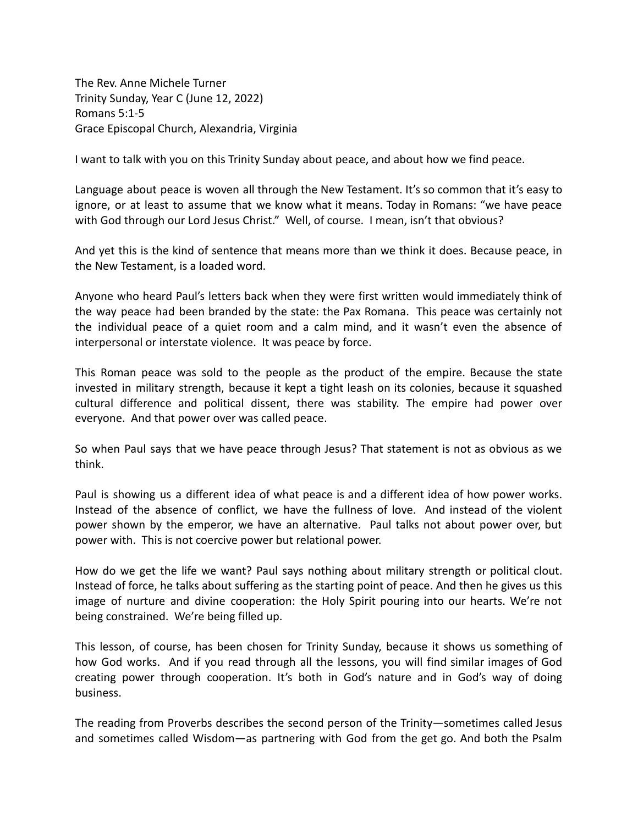The Rev. Anne Michele Turner Trinity Sunday, Year C (June 12, 2022) Romans 5:1-5 Grace Episcopal Church, Alexandria, Virginia

I want to talk with you on this Trinity Sunday about peace, and about how we find peace.

Language about peace is woven all through the New Testament. It's so common that it's easy to ignore, or at least to assume that we know what it means. Today in Romans: "we have peace with God through our Lord Jesus Christ." Well, of course. I mean, isn't that obvious?

And yet this is the kind of sentence that means more than we think it does. Because peace, in the New Testament, is a loaded word.

Anyone who heard Paul's letters back when they were first written would immediately think of the way peace had been branded by the state: the Pax Romana. This peace was certainly not the individual peace of a quiet room and a calm mind, and it wasn't even the absence of interpersonal or interstate violence. It was peace by force.

This Roman peace was sold to the people as the product of the empire. Because the state invested in military strength, because it kept a tight leash on its colonies, because it squashed cultural difference and political dissent, there was stability. The empire had power over everyone. And that power over was called peace.

So when Paul says that we have peace through Jesus? That statement is not as obvious as we think.

Paul is showing us a different idea of what peace is and a different idea of how power works. Instead of the absence of conflict, we have the fullness of love. And instead of the violent power shown by the emperor, we have an alternative. Paul talks not about power over, but power with. This is not coercive power but relational power.

How do we get the life we want? Paul says nothing about military strength or political clout. Instead of force, he talks about suffering as the starting point of peace. And then he gives us this image of nurture and divine cooperation: the Holy Spirit pouring into our hearts. We're not being constrained. We're being filled up.

This lesson, of course, has been chosen for Trinity Sunday, because it shows us something of how God works. And if you read through all the lessons, you will find similar images of God creating power through cooperation. It's both in God's nature and in God's way of doing business.

The reading from Proverbs describes the second person of the Trinity—sometimes called Jesus and sometimes called Wisdom—as partnering with God from the get go. And both the Psalm